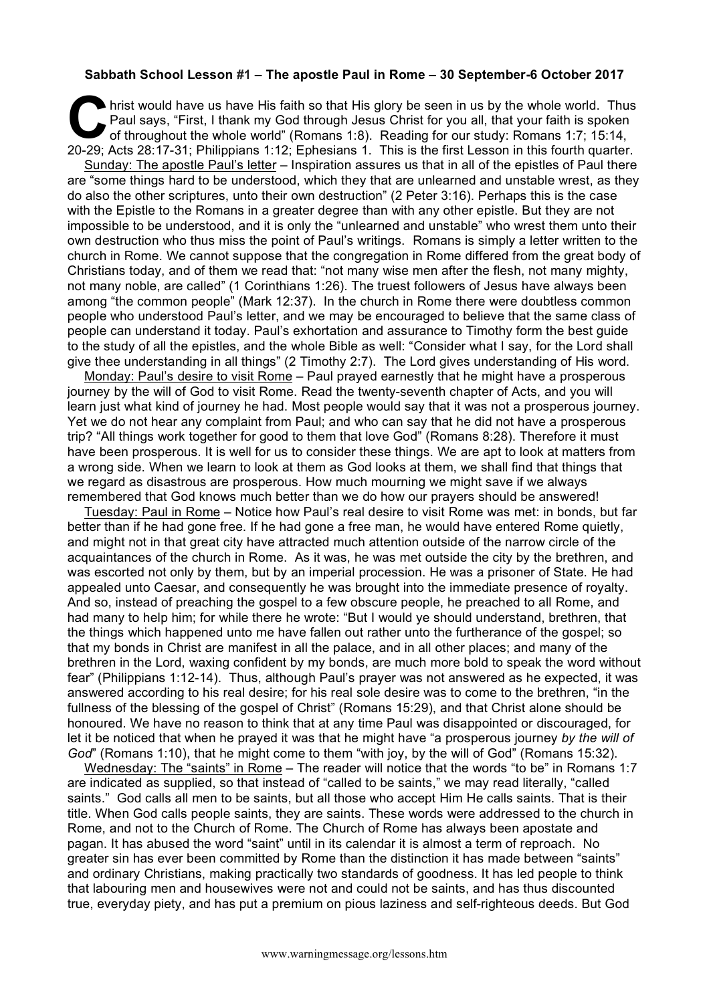## **Sabbath School Lesson #1 – The apostle Paul in Rome – 30 September-6 October 2017**

hrist would have us have His faith so that His glory be seen in us by the whole world. Thus<br>
Paul says, "First, I thank my God through Jesus Christ for you all, that your faith is spoken<br>
of throughout the whole world" (Ro Paul says, "First, I thank my God through Jesus Christ for you all, that your faith is spoken of throughout the whole world" (Romans 1:8). Reading for our study: Romans 1:7; 15:14, 20-29; Acts 28:17-31; Philippians 1:12; Ephesians 1. This is the first Lesson in this fourth quarter.

Sunday: The apostle Paul's letter – Inspiration assures us that in all of the epistles of Paul there are "some things hard to be understood, which they that are unlearned and unstable wrest, as they do also the other scriptures, unto their own destruction" (2 Peter 3:16). Perhaps this is the case with the Epistle to the Romans in a greater degree than with any other epistle. But they are not impossible to be understood, and it is only the "unlearned and unstable" who wrest them unto their own destruction who thus miss the point of Paul's writings. Romans is simply a letter written to the church in Rome. We cannot suppose that the congregation in Rome differed from the great body of Christians today, and of them we read that: "not many wise men after the flesh, not many mighty, not many noble, are called" (1 Corinthians 1:26). The truest followers of Jesus have always been among "the common people" (Mark 12:37). In the church in Rome there were doubtless common people who understood Paul's letter, and we may be encouraged to believe that the same class of people can understand it today. Paul's exhortation and assurance to Timothy form the best guide to the study of all the epistles, and the whole Bible as well: "Consider what I say, for the Lord shall give thee understanding in all things" (2 Timothy 2:7). The Lord gives understanding of His word.

Monday: Paul's desire to visit Rome – Paul prayed earnestly that he might have a prosperous journey by the will of God to visit Rome. Read the twenty-seventh chapter of Acts, and you will learn just what kind of journey he had. Most people would say that it was not a prosperous journey. Yet we do not hear any complaint from Paul; and who can say that he did not have a prosperous trip? "All things work together for good to them that love God" (Romans 8:28). Therefore it must have been prosperous. It is well for us to consider these things. We are apt to look at matters from a wrong side. When we learn to look at them as God looks at them, we shall find that things that we regard as disastrous are prosperous. How much mourning we might save if we always remembered that God knows much better than we do how our prayers should be answered!

Tuesday: Paul in Rome – Notice how Paul's real desire to visit Rome was met: in bonds, but far better than if he had gone free. If he had gone a free man, he would have entered Rome quietly, and might not in that great city have attracted much attention outside of the narrow circle of the acquaintances of the church in Rome. As it was, he was met outside the city by the brethren, and was escorted not only by them, but by an imperial procession. He was a prisoner of State. He had appealed unto Caesar, and consequently he was brought into the immediate presence of royalty. And so, instead of preaching the gospel to a few obscure people, he preached to all Rome, and had many to help him; for while there he wrote: "But I would ye should understand, brethren, that the things which happened unto me have fallen out rather unto the furtherance of the gospel; so that my bonds in Christ are manifest in all the palace, and in all other places; and many of the brethren in the Lord, waxing confident by my bonds, are much more bold to speak the word without fear" (Philippians 1:12-14). Thus, although Paul's prayer was not answered as he expected, it was answered according to his real desire; for his real sole desire was to come to the brethren, "in the fullness of the blessing of the gospel of Christ" (Romans 15:29), and that Christ alone should be honoured. We have no reason to think that at any time Paul was disappointed or discouraged, for let it be noticed that when he prayed it was that he might have "a prosperous journey *by the will of God*" (Romans 1:10), that he might come to them "with joy, by the will of God" (Romans 15:32).

Wednesday: The "saints" in Rome – The reader will notice that the words "to be" in Romans 1:7 are indicated as supplied, so that instead of "called to be saints," we may read literally, "called saints." God calls all men to be saints, but all those who accept Him He calls saints. That is their title. When God calls people saints, they are saints. These words were addressed to the church in Rome, and not to the Church of Rome. The Church of Rome has always been apostate and pagan. It has abused the word "saint" until in its calendar it is almost a term of reproach. No greater sin has ever been committed by Rome than the distinction it has made between "saints" and ordinary Christians, making practically two standards of goodness. It has led people to think that labouring men and housewives were not and could not be saints, and has thus discounted true, everyday piety, and has put a premium on pious laziness and self-righteous deeds. But God